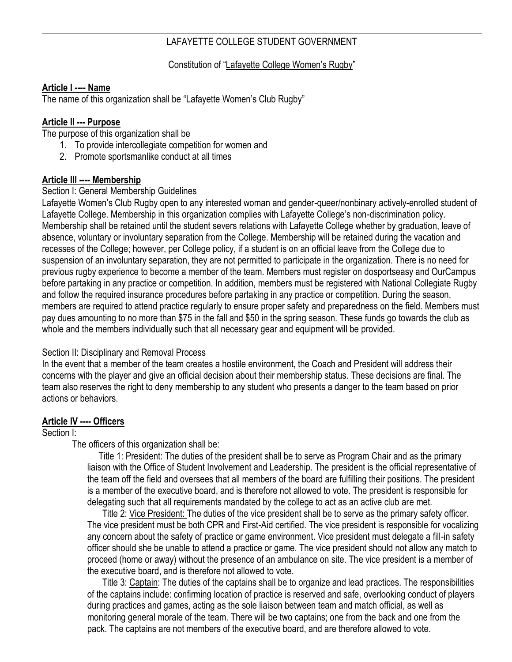# LAFAYETTE COLLEGE STUDENT GOVERNMENT

## Constitution of "Lafayette College Women's Rugby"

### **Article I ---- Name**

The name of this organization shall be "Lafayette Women's Club Rugby"

## **Article II --- Purpose**

The purpose of this organization shall be

- 1. To provide intercollegiate competition for women and
- 2. Promote sportsmanlike conduct at all times

# **Article III ---- Membership**

### Section I: General Membership Guidelines

Lafayette Women's Club Rugby open to any interested woman and gender-queer/nonbinary actively-enrolled student of Lafayette College. Membership in this organization complies with Lafayette College's non-discrimination policy. Membership shall be retained until the student severs relations with Lafayette College whether by graduation, leave of absence, voluntary or involuntary separation from the College. Membership will be retained during the vacation and recesses of the College; however, per College policy, if a student is on an official leave from the College due to suspension of an involuntary separation, they are not permitted to participate in the organization. There is no need for previous rugby experience to become a member of the team. Members must register on dosportseasy and OurCampus before partaking in any practice or competition. In addition, members must be registered with National Collegiate Rugby and follow the required insurance procedures before partaking in any practice or competition. During the season, members are required to attend practice regularly to ensure proper safety and preparedness on the field. Members must pay dues amounting to no more than \$75 in the fall and \$50 in the spring season. These funds go towards the club as whole and the members individually such that all necessary gear and equipment will be provided.

#### Section II: Disciplinary and Removal Process

In the event that a member of the team creates a hostile environment, the Coach and President will address their concerns with the player and give an official decision about their membership status. These decisions are final. The team also reserves the right to deny membership to any student who presents a danger to the team based on prior actions or behaviors.

#### **Article IV ---- Officers**

#### Section I:

The officers of this organization shall be:

Title 1: President: The duties of the president shall be to serve as Program Chair and as the primary liaison with the Office of Student Involvement and Leadership. The president is the official representative of the team off the field and oversees that all members of the board are fulfilling their positions. The president is a member of the executive board, and is therefore not allowed to vote. The president is responsible for delegating such that all requirements mandated by the college to act as an active club are met.

Title 2: Vice President: The duties of the vice president shall be to serve as the primary safety officer. The vice president must be both CPR and First-Aid certified. The vice president is responsible for vocalizing any concern about the safety of practice or game environment. Vice president must delegate a fill-in safety officer should she be unable to attend a practice or game. The vice president should not allow any match to proceed (home or away) without the presence of an ambulance on site. The vice president is a member of the executive board, and is therefore not allowed to vote.

Title 3: Captain: The duties of the captains shall be to organize and lead practices. The responsibilities of the captains include: confirming location of practice is reserved and safe, overlooking conduct of players during practices and games, acting as the sole liaison between team and match official, as well as monitoring general morale of the team. There will be two captains; one from the back and one from the pack. The captains are not members of the executive board, and are therefore allowed to vote.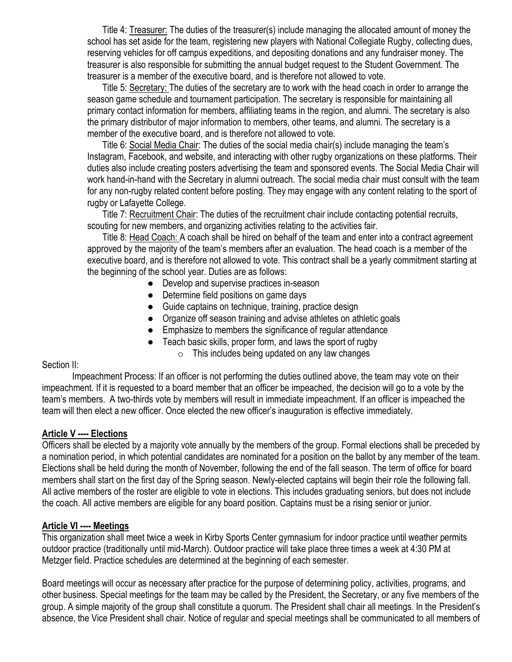Title 4: Treasurer: The duties of the treasurer(s) include managing the allocated amount of money the school has set aside for the team, registering new players with National Collegiate Rugby, collecting dues, reserving vehicles for off campus expeditions, and depositing donations and any fundraiser money. The treasurer is also responsible for submitting the annual budget request to the Student Government. The treasurer is a member of the executive board, and is therefore not allowed to vote.

Title 5: Secretary: The duties of the secretary are to work with the head coach in order to arrange the season game schedule and tournament participation. The secretary is responsible for maintaining all primary contact information for members, affiliating teams in the region, and alumni. The secretary is also the primary distributor of major information to members, other teams, and alumni. The secretary is a member of the executive board, and is therefore not allowed to vote.

Title 6: Social Media Chair: The duties of the social media chair(s) include managing the team's Instagram, Facebook, and website, and interacting with other rugby organizations on these platforms. Their duties also include creating posters advertising the team and sponsored events. The Social Media Chair will work hand-in-hand with the Secretary in alumni outreach. The social media chair must consult with the team for any non-rugby related content before posting. They may engage with any content relating to the sport of rugby or Lafayette College.

Title 7: Recruitment Chair: The duties of the recruitment chair include contacting potential recruits, scouting for new members, and organizing activities relating to the activities fair.

Title 8: Head Coach: A coach shall be hired on behalf of the team and enter into a contract agreement approved by the majority of the team's members after an evaluation. The head coach is a member of the executive board, and is therefore not allowed to vote. This contract shall be a yearly commitment starting at the beginning of the school year. Duties are as follows:

- Develop and supervise practices in-season
- Determine field positions on game days
- Guide captains on technique, training, practice design
- Organize off season training and advise athletes on athletic goals
- Emphasize to members the significance of regular attendance
	- Teach basic skills, proper form, and laws the sport of rugby
		- $\circ$  This includes being updated on any law changes

#### Section II:

Impeachment Process: If an officer is not performing the duties outlined above, the team may vote on their impeachment. If it is requested to a board member that an officer be impeached, the decision will go to a vote by the team's members. A two-thirds vote by members will result in immediate impeachment. If an officer is impeached the team will then elect a new officer. Once elected the new officer's inauguration is effective immediately.

# **Article V ---- Elections**

Officers shall be elected by a majority vote annually by the members of the group. Formal elections shall be preceded by a nomination period, in which potential candidates are nominated for a position on the ballot by any member of the team. Elections shall be held during the month of November, following the end of the fall season. The term of office for board members shall start on the first day of the Spring season. Newly-elected captains will begin their role the following fall. All active members of the roster are eligible to vote in elections. This includes graduating seniors, but does not include the coach. All active members are eligible for any board position. Captains must be a rising senior or junior.

# **Article VI ---- Meetings**

This organization shall meet twice a week in Kirby Sports Center gymnasium for indoor practice until weather permits outdoor practice (traditionally until mid-March). Outdoor practice will take place three times a week at 4:30 PM at Metzger field. Practice schedules are determined at the beginning of each semester.

Board meetings will occur as necessary after practice for the purpose of determining policy, activities, programs, and other business. Special meetings for the team may be called by the President, the Secretary, or any five members of the group. A simple majority of the group shall constitute a quorum. The President shall chair all meetings. In the President's absence, the Vice President shall chair. Notice of regular and special meetings shall be communicated to all members of